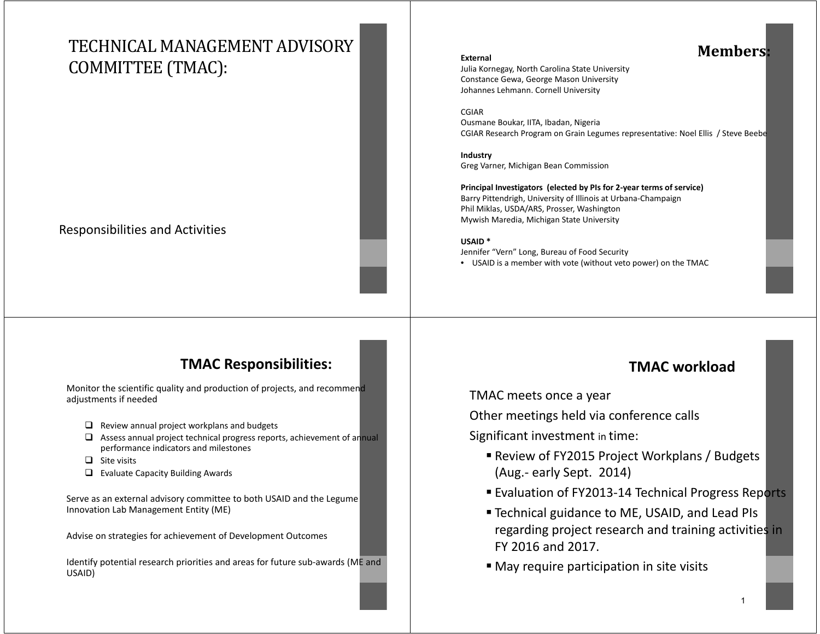# TECHNICAL MANAGEMENT ADVISORY COMMITTEE (TMAC):

### Responsibilities and Activities

## **Members:**

Julia Kornegay, North Carolina State University Constance Gewa, George Mason University Johannes Lehmann. Cornell University

#### CGIAR

**External** 

Ousmane Boukar, IITA, Ibadan, Nigeria CGIAR Research Program on Grain Legumes representative: Noel Ellis / Steve Beebe

**Industry** Greg Varner, Michigan Bean Commission

**Principal Investigators (elected by PIs for 2-year terms of service)** Barry Pittendrigh, University of Illinois at Urbana-Champaign Phil Miklas, USDA/ARS, Prosser, Washington Mywish Maredia, Michigan State University

#### **USAID \***

Jennifer "Vern" Long, Bureau of Food Security

• USAID is a member with vote (without veto power) on the TMAC

### **TMAC Responsibilities:**

Monitor the scientific quality and production of projects, and recommend adjustments if needed

- $\Box$  Review annual project workplans and budgets
- $\Box$  Assess annual project technical progress reports, achievement of annual performance indicators and milestones
- $\Box$  Site visits
- ❏ Evaluate Capacity Building Awards

Serve as an external advisory committee to both USAID and the Legume Innovation Lab Management Entity (ME)

Advise on strategies for achievement of Development Outcomes

Identify potential research priorities and areas for future sub-awards (ME and USAID)

## **TMAC workload**

TMAC meets once a year

Other meetings held via conference calls

Significant investment in time:

- Review of FY2015 Project Workplans / Budgets (Aug.- early Sept. 2014)
- Evaluation of FY2013-14 Technical Progress Reports
- Technical guidance to ME, USAID, and Lead PIs regarding project research and training activities in FY 2016 and 2017.
- May require participation in site visits